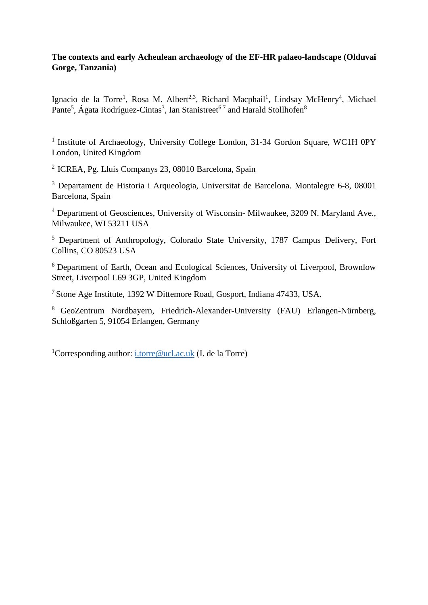# **The contexts and early Acheulean archaeology of the EF-HR palaeo-landscape (Olduvai Gorge, Tanzania)**

Ignacio de la Torre<sup>1</sup>, Rosa M. Albert<sup>2,3</sup>, Richard Macphail<sup>1</sup>, Lindsay McHenry<sup>4</sup>, Michael Pante<sup>5</sup>, Ágata Rodríguez-Cintas<sup>3</sup>, Ian Stanistreet<sup>6,7</sup> and Harald Stollhofen<sup>8</sup>

<sup>1</sup> Institute of Archaeology, University College London, 31-34 Gordon Square, WC1H 0PY London, United Kingdom

<sup>2</sup>ICREA, Pg. Lluís Companys 23, 08010 Barcelona, Spain

<sup>3</sup> Departament de Historia i Arqueologia, Universitat de Barcelona. Montalegre 6-8, 08001 Barcelona, Spain

<sup>4</sup> Department of Geosciences, University of Wisconsin- Milwaukee, 3209 N. Maryland Ave., Milwaukee, WI 53211 USA

<sup>5</sup> Department of Anthropology, Colorado State University, 1787 Campus Delivery, Fort Collins, CO 80523 USA

<sup>6</sup> Department of Earth, Ocean and Ecological Sciences, University of Liverpool, Brownlow Street, Liverpool L69 3GP, United Kingdom

<sup>7</sup> Stone Age Institute, 1392 W Dittemore Road, Gosport, Indiana 47433, USA.

<sup>8</sup> GeoZentrum Nordbayern, Friedrich-Alexander-University (FAU) Erlangen-Nürnberg, Schloßgarten 5, 91054 Erlangen, Germany

<sup>1</sup>Corresponding author: [i.torre@ucl.ac.uk](mailto:i.torre@ucl.ac.uk) (I. de la Torre)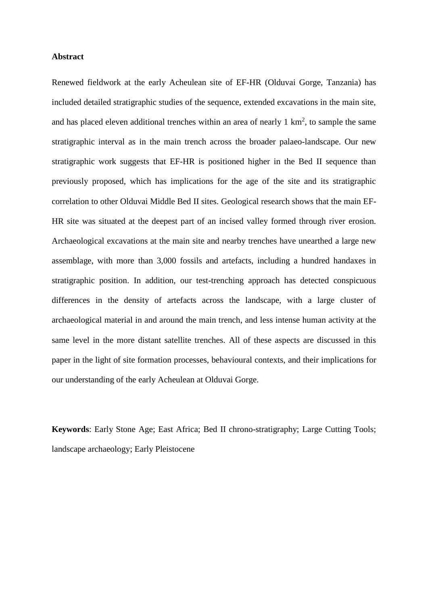# **Abstract**

Renewed fieldwork at the early Acheulean site of EF-HR (Olduvai Gorge, Tanzania) has included detailed stratigraphic studies of the sequence, extended excavations in the main site, and has placed eleven additional trenches within an area of nearly  $1 \text{ km}^2$ , to sample the same stratigraphic interval as in the main trench across the broader palaeo-landscape. Our new stratigraphic work suggests that EF-HR is positioned higher in the Bed II sequence than previously proposed, which has implications for the age of the site and its stratigraphic correlation to other Olduvai Middle Bed II sites. Geological research shows that the main EF-HR site was situated at the deepest part of an incised valley formed through river erosion. Archaeological excavations at the main site and nearby trenches have unearthed a large new assemblage, with more than 3,000 fossils and artefacts, including a hundred handaxes in stratigraphic position. In addition, our test-trenching approach has detected conspicuous differences in the density of artefacts across the landscape, with a large cluster of archaeological material in and around the main trench, and less intense human activity at the same level in the more distant satellite trenches. All of these aspects are discussed in this paper in the light of site formation processes, behavioural contexts, and their implications for our understanding of the early Acheulean at Olduvai Gorge.

**Keywords**: Early Stone Age; East Africa; Bed II chrono-stratigraphy; Large Cutting Tools; landscape archaeology; Early Pleistocene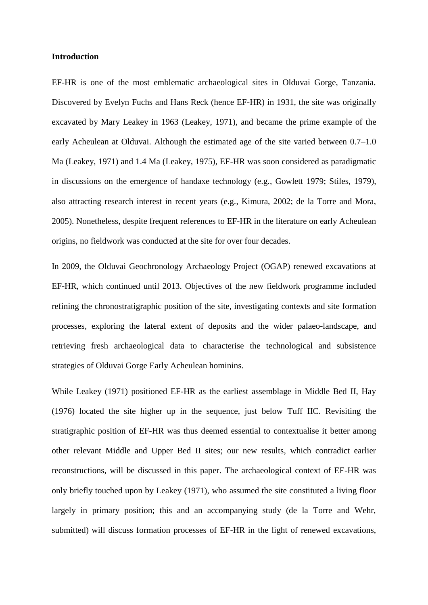### **Introduction**

EF-HR is one of the most emblematic archaeological sites in Olduvai Gorge, Tanzania. Discovered by Evelyn Fuchs and Hans Reck (hence EF-HR) in 1931, the site was originally excavated by Mary Leakey in 1963 (Leakey, 1971), and became the prime example of the early Acheulean at Olduvai. Although the estimated age of the site varied between 0.7–1.0 Ma (Leakey, 1971) and 1.4 Ma (Leakey, 1975), EF-HR was soon considered as paradigmatic in discussions on the emergence of handaxe technology (e.g., Gowlett 1979; Stiles, 1979), also attracting research interest in recent years (e.g., Kimura, 2002; de la Torre and Mora, 2005). Nonetheless, despite frequent references to EF-HR in the literature on early Acheulean origins, no fieldwork was conducted at the site for over four decades.

In 2009, the Olduvai Geochronology Archaeology Project (OGAP) renewed excavations at EF-HR, which continued until 2013. Objectives of the new fieldwork programme included refining the chronostratigraphic position of the site, investigating contexts and site formation processes, exploring the lateral extent of deposits and the wider palaeo-landscape, and retrieving fresh archaeological data to characterise the technological and subsistence strategies of Olduvai Gorge Early Acheulean hominins.

While Leakey (1971) positioned EF-HR as the earliest assemblage in Middle Bed II, Hay (1976) located the site higher up in the sequence, just below Tuff IIC. Revisiting the stratigraphic position of EF-HR was thus deemed essential to contextualise it better among other relevant Middle and Upper Bed II sites; our new results, which contradict earlier reconstructions, will be discussed in this paper. The archaeological context of EF-HR was only briefly touched upon by Leakey (1971), who assumed the site constituted a living floor largely in primary position; this and an accompanying study (de la Torre and Wehr, submitted) will discuss formation processes of EF-HR in the light of renewed excavations,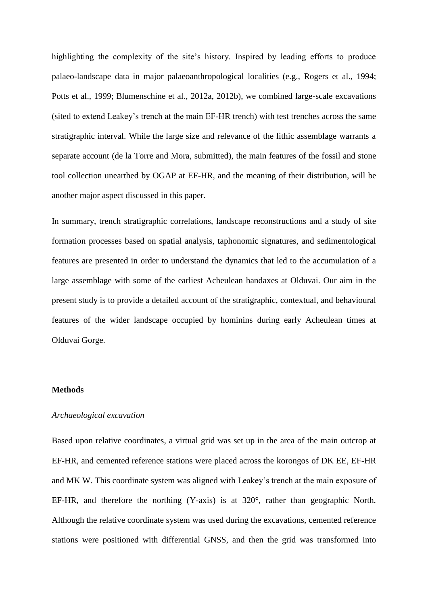highlighting the complexity of the site's history. Inspired by leading efforts to produce palaeo-landscape data in major palaeoanthropological localities (e.g., Rogers et al., 1994; Potts et al., 1999; Blumenschine et al., 2012a, 2012b), we combined large-scale excavations (sited to extend Leakey's trench at the main EF-HR trench) with test trenches across the same stratigraphic interval. While the large size and relevance of the lithic assemblage warrants a separate account (de la Torre and Mora, submitted), the main features of the fossil and stone tool collection unearthed by OGAP at EF-HR, and the meaning of their distribution, will be another major aspect discussed in this paper.

In summary, trench stratigraphic correlations, landscape reconstructions and a study of site formation processes based on spatial analysis, taphonomic signatures, and sedimentological features are presented in order to understand the dynamics that led to the accumulation of a large assemblage with some of the earliest Acheulean handaxes at Olduvai. Our aim in the present study is to provide a detailed account of the stratigraphic, contextual, and behavioural features of the wider landscape occupied by hominins during early Acheulean times at Olduvai Gorge.

# **Methods**

### *Archaeological excavation*

Based upon relative coordinates, a virtual grid was set up in the area of the main outcrop at EF-HR, and cemented reference stations were placed across the korongos of DK EE, EF-HR and MK W. This coordinate system was aligned with Leakey's trench at the main exposure of EF-HR, and therefore the northing (Y-axis) is at 320°, rather than geographic North. Although the relative coordinate system was used during the excavations, cemented reference stations were positioned with differential GNSS, and then the grid was transformed into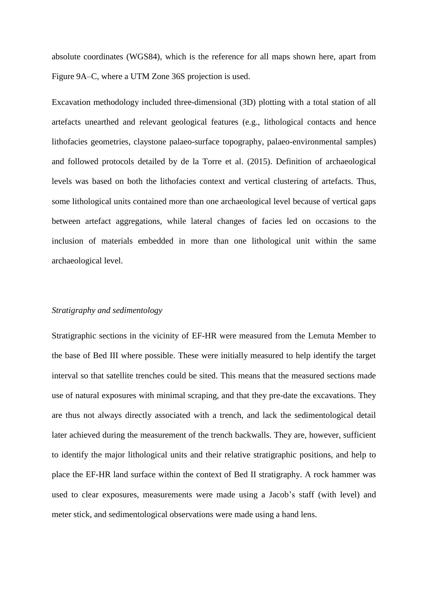absolute coordinates (WGS84), which is the reference for all maps shown here, apart from Figure 9A–C, where a UTM Zone 36S projection is used.

Excavation methodology included three-dimensional (3D) plotting with a total station of all artefacts unearthed and relevant geological features (e.g., lithological contacts and hence lithofacies geometries, claystone palaeo-surface topography, palaeo-environmental samples) and followed protocols detailed by de la Torre et al. (2015). Definition of archaeological levels was based on both the lithofacies context and vertical clustering of artefacts. Thus, some lithological units contained more than one archaeological level because of vertical gaps between artefact aggregations, while lateral changes of facies led on occasions to the inclusion of materials embedded in more than one lithological unit within the same archaeological level.

# *Stratigraphy and sedimentology*

Stratigraphic sections in the vicinity of EF-HR were measured from the Lemuta Member to the base of Bed III where possible. These were initially measured to help identify the target interval so that satellite trenches could be sited. This means that the measured sections made use of natural exposures with minimal scraping, and that they pre-date the excavations. They are thus not always directly associated with a trench, and lack the sedimentological detail later achieved during the measurement of the trench backwalls. They are, however, sufficient to identify the major lithological units and their relative stratigraphic positions, and help to place the EF-HR land surface within the context of Bed II stratigraphy. A rock hammer was used to clear exposures, measurements were made using a Jacob's staff (with level) and meter stick, and sedimentological observations were made using a hand lens.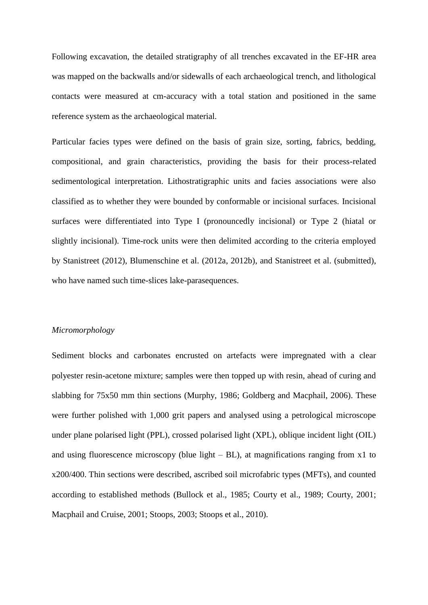Following excavation, the detailed stratigraphy of all trenches excavated in the EF-HR area was mapped on the backwalls and/or sidewalls of each archaeological trench, and lithological contacts were measured at cm-accuracy with a total station and positioned in the same reference system as the archaeological material.

Particular facies types were defined on the basis of grain size, sorting, fabrics, bedding, compositional, and grain characteristics, providing the basis for their process-related sedimentological interpretation. Lithostratigraphic units and facies associations were also classified as to whether they were bounded by conformable or incisional surfaces. Incisional surfaces were differentiated into Type I (pronouncedly incisional) or Type 2 (hiatal or slightly incisional). Time-rock units were then delimited according to the criteria employed by Stanistreet (2012), Blumenschine et al. (2012a, 2012b), and Stanistreet et al. (submitted), who have named such time-slices lake-parasequences.

# *Micromorphology*

Sediment blocks and carbonates encrusted on artefacts were impregnated with a clear polyester resin-acetone mixture; samples were then topped up with resin, ahead of curing and slabbing for 75x50 mm thin sections (Murphy, 1986; Goldberg and Macphail, 2006). These were further polished with 1,000 grit papers and analysed using a petrological microscope under plane polarised light (PPL), crossed polarised light (XPL), oblique incident light (OIL) and using fluorescence microscopy (blue light  $- BL$ ), at magnifications ranging from x1 to x200/400. Thin sections were described, ascribed soil microfabric types (MFTs), and counted according to established methods (Bullock et al., 1985; Courty et al., 1989; Courty, 2001; Macphail and Cruise, 2001; Stoops, 2003; Stoops et al., 2010).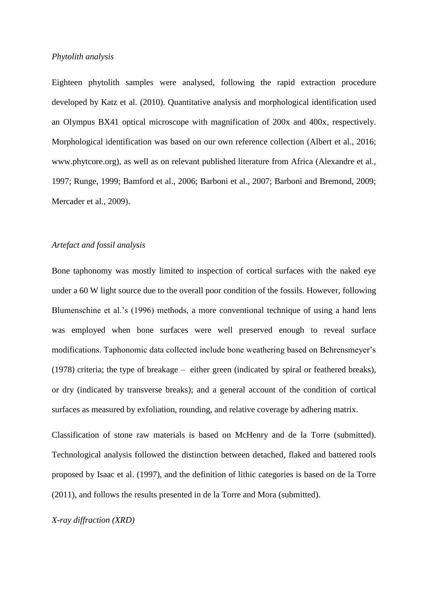## *Phytolith analysis*

Eighteen phytolith samples were analysed, following the rapid extraction procedure developed by Katz et al. (2010). Quantitative analysis and morphological identification used an Olympus BX41 optical microscope with magnification of 200x and 400x, respectively. Morphological identification was based on our own reference collection (Albert et al., 2016; www.phytcore.org), as well as on relevant published literature from Africa (Alexandre et al., 1997; Runge, 1999; Bamford et al., 2006; Barboni et al., 2007; Barboni and Bremond, 2009; Mercader et al., 2009).

# *Artefact and fossil analysis*

Bone taphonomy was mostly limited to inspection of cortical surfaces with the naked eye under a 60 W light source due to the overall poor condition of the fossils. However, following Blumenschine et al.'s (1996) methods, a more conventional technique of using a hand lens was employed when bone surfaces were well preserved enough to reveal surface modifications. Taphonomic data collected include bone weathering based on Behrensmeyer's (1978) criteria; the type of breakage – either green (indicated by spiral or feathered breaks), or dry (indicated by transverse breaks); and a general account of the condition of cortical surfaces as measured by exfoliation, rounding, and relative coverage by adhering matrix.

Classification of stone raw materials is based on McHenry and de la Torre (submitted). Technological analysis followed the distinction between detached, flaked and battered tools proposed by Isaac et al. (1997), and the definition of lithic categories is based on de la Torre (2011), and follows the results presented in de la Torre and Mora (submitted).

*X-ray diffraction (XRD)*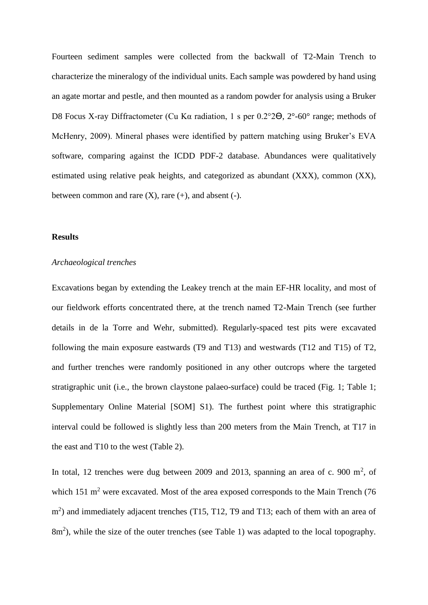Fourteen sediment samples were collected from the backwall of T2-Main Trench to characterize the mineralogy of the individual units. Each sample was powdered by hand using an agate mortar and pestle, and then mounted as a random powder for analysis using a Bruker D8 Focus X-ray Diffractometer (Cu Kα radiation, 1 s per 0.2°2ϴ, 2°-60° range; methods of McHenry, 2009). Mineral phases were identified by pattern matching using Bruker's EVA software, comparing against the ICDD PDF-2 database. Abundances were qualitatively estimated using relative peak heights, and categorized as abundant (XXX), common (XX), between common and rare  $(X)$ , rare  $(+)$ , and absent  $(-)$ .

#### **Results**

#### *Archaeological trenches*

Excavations began by extending the Leakey trench at the main EF-HR locality, and most of our fieldwork efforts concentrated there, at the trench named T2-Main Trench (see further details in de la Torre and Wehr, submitted). Regularly-spaced test pits were excavated following the main exposure eastwards (T9 and T13) and westwards (T12 and T15) of T2, and further trenches were randomly positioned in any other outcrops where the targeted stratigraphic unit (i.e., the brown claystone palaeo-surface) could be traced (Fig. 1; Table 1; Supplementary Online Material [SOM] S1). The furthest point where this stratigraphic interval could be followed is slightly less than 200 meters from the Main Trench, at T17 in the east and T10 to the west (Table 2).

In total, 12 trenches were dug between 2009 and 2013, spanning an area of c. 900  $m^2$ , of which 151 m<sup>2</sup> were excavated. Most of the area exposed corresponds to the Main Trench (76) m<sup>2</sup>) and immediately adjacent trenches (T15, T12, T9 and T13; each of them with an area of 8m<sup>2</sup>), while the size of the outer trenches (see Table 1) was adapted to the local topography.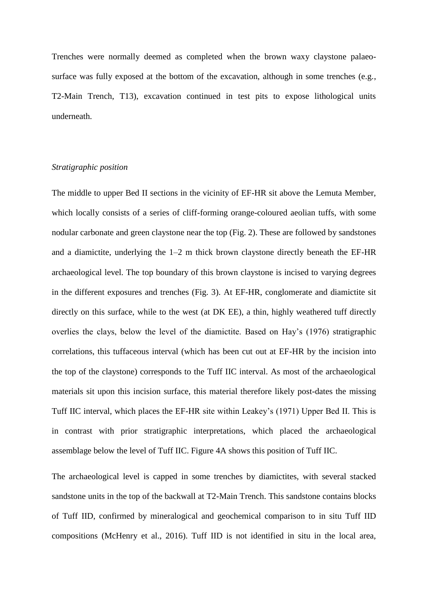Trenches were normally deemed as completed when the brown waxy claystone palaeosurface was fully exposed at the bottom of the excavation, although in some trenches (e.g., T2-Main Trench, T13), excavation continued in test pits to expose lithological units underneath.

# *Stratigraphic position*

The middle to upper Bed II sections in the vicinity of EF-HR sit above the Lemuta Member, which locally consists of a series of cliff-forming orange-coloured aeolian tuffs, with some nodular carbonate and green claystone near the top (Fig. 2). These are followed by sandstones and a diamictite, underlying the  $1-2$  m thick brown claystone directly beneath the EF-HR archaeological level. The top boundary of this brown claystone is incised to varying degrees in the different exposures and trenches (Fig. 3). At EF-HR, conglomerate and diamictite sit directly on this surface, while to the west (at DK EE), a thin, highly weathered tuff directly overlies the clays, below the level of the diamictite. Based on Hay's (1976) stratigraphic correlations, this tuffaceous interval (which has been cut out at EF-HR by the incision into the top of the claystone) corresponds to the Tuff IIC interval. As most of the archaeological materials sit upon this incision surface, this material therefore likely post-dates the missing Tuff IIC interval, which places the EF-HR site within Leakey's (1971) Upper Bed II. This is in contrast with prior stratigraphic interpretations, which placed the archaeological assemblage below the level of Tuff IIC. Figure 4A shows this position of Tuff IIC.

The archaeological level is capped in some trenches by diamictites, with several stacked sandstone units in the top of the backwall at T2-Main Trench. This sandstone contains blocks of Tuff IID, confirmed by mineralogical and geochemical comparison to in situ Tuff IID compositions (McHenry et al., 2016). Tuff IID is not identified in situ in the local area,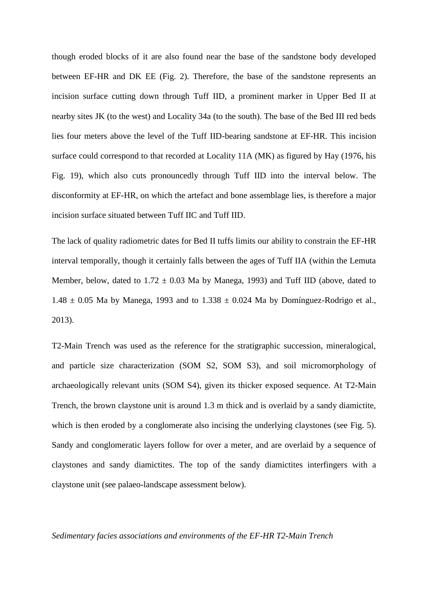though eroded blocks of it are also found near the base of the sandstone body developed between EF-HR and DK EE (Fig. 2). Therefore, the base of the sandstone represents an incision surface cutting down through Tuff IID, a prominent marker in Upper Bed II at nearby sites JK (to the west) and Locality 34a (to the south). The base of the Bed III red beds lies four meters above the level of the Tuff IID-bearing sandstone at EF-HR. This incision surface could correspond to that recorded at Locality 11A (MK) as figured by Hay (1976, his Fig. 19), which also cuts pronouncedly through Tuff IID into the interval below. The disconformity at EF-HR, on which the artefact and bone assemblage lies, is therefore a major incision surface situated between Tuff IIC and Tuff IID.

The lack of quality radiometric dates for Bed II tuffs limits our ability to constrain the EF-HR interval temporally, though it certainly falls between the ages of Tuff IIA (within the Lemuta Member, below, dated to  $1.72 \pm 0.03$  Ma by Manega, 1993) and Tuff IID (above, dated to  $1.48 \pm 0.05$  Ma by Manega, 1993 and to  $1.338 \pm 0.024$  Ma by Domínguez-Rodrigo et al., 2013).

T2-Main Trench was used as the reference for the stratigraphic succession, mineralogical, and particle size characterization (SOM S2, SOM S3), and soil micromorphology of archaeologically relevant units (SOM S4), given its thicker exposed sequence. At T2-Main Trench, the brown claystone unit is around 1.3 m thick and is overlaid by a sandy diamictite, which is then eroded by a conglomerate also incising the underlying claystones (see Fig. 5). Sandy and conglomeratic layers follow for over a meter, and are overlaid by a sequence of claystones and sandy diamictites. The top of the sandy diamictites interfingers with a claystone unit (see palaeo-landscape assessment below).

#### *Sedimentary facies associations and environments of the EF-HR T2-Main Trench*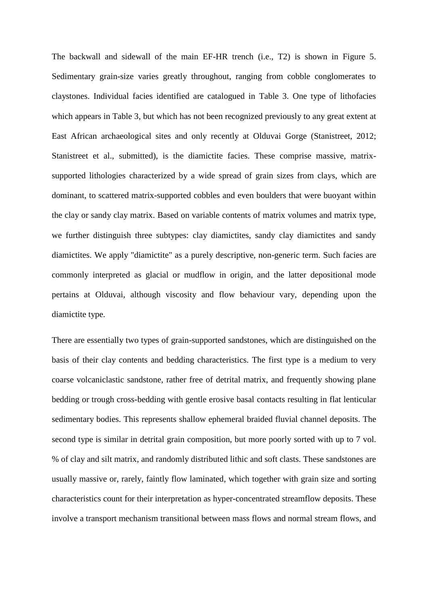The backwall and sidewall of the main EF-HR trench (i.e., T2) is shown in Figure 5. Sedimentary grain-size varies greatly throughout, ranging from cobble conglomerates to claystones. Individual facies identified are catalogued in Table 3. One type of lithofacies which appears in Table 3, but which has not been recognized previously to any great extent at East African archaeological sites and only recently at Olduvai Gorge (Stanistreet, 2012; Stanistreet et al., submitted), is the diamictite facies. These comprise massive, matrixsupported lithologies characterized by a wide spread of grain sizes from clays, which are dominant, to scattered matrix-supported cobbles and even boulders that were buoyant within the clay or sandy clay matrix. Based on variable contents of matrix volumes and matrix type, we further distinguish three subtypes: clay diamictites, sandy clay diamictites and sandy diamictites. We apply "diamictite" as a purely descriptive, non-generic term. Such facies are commonly interpreted as glacial or mudflow in origin, and the latter depositional mode pertains at Olduvai, although viscosity and flow behaviour vary, depending upon the diamictite type.

There are essentially two types of grain-supported sandstones, which are distinguished on the basis of their clay contents and bedding characteristics. The first type is a medium to very coarse volcaniclastic sandstone, rather free of detrital matrix, and frequently showing plane bedding or trough cross-bedding with gentle erosive basal contacts resulting in flat lenticular sedimentary bodies. This represents shallow ephemeral braided fluvial channel deposits. The second type is similar in detrital grain composition, but more poorly sorted with up to 7 vol. % of clay and silt matrix, and randomly distributed lithic and soft clasts. These sandstones are usually massive or, rarely, faintly flow laminated, which together with grain size and sorting characteristics count for their interpretation as hyper-concentrated streamflow deposits. These involve a transport mechanism transitional between mass flows and normal stream flows, and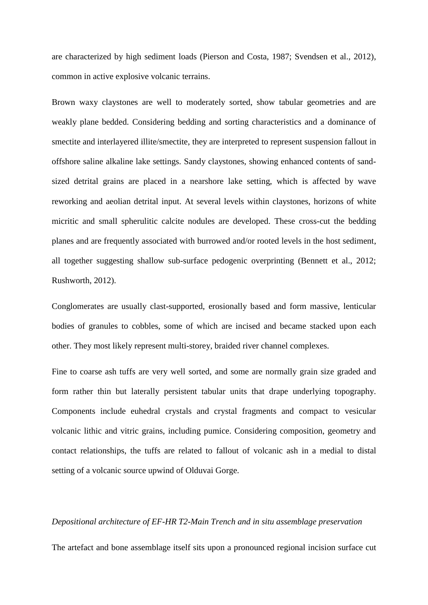are characterized by high sediment loads (Pierson and Costa, 1987; Svendsen et al., 2012), common in active explosive volcanic terrains.

Brown waxy claystones are well to moderately sorted, show tabular geometries and are weakly plane bedded. Considering bedding and sorting characteristics and a dominance of smectite and interlayered illite/smectite, they are interpreted to represent suspension fallout in offshore saline alkaline lake settings. Sandy claystones, showing enhanced contents of sandsized detrital grains are placed in a nearshore lake setting, which is affected by wave reworking and aeolian detrital input. At several levels within claystones, horizons of white micritic and small spherulitic calcite nodules are developed. These cross-cut the bedding planes and are frequently associated with burrowed and/or rooted levels in the host sediment, all together suggesting shallow sub-surface pedogenic overprinting (Bennett et al., 2012; Rushworth, 2012).

Conglomerates are usually clast-supported, erosionally based and form massive, lenticular bodies of granules to cobbles, some of which are incised and became stacked upon each other. They most likely represent multi-storey, braided river channel complexes.

Fine to coarse ash tuffs are very well sorted, and some are normally grain size graded and form rather thin but laterally persistent tabular units that drape underlying topography. Components include euhedral crystals and crystal fragments and compact to vesicular volcanic lithic and vitric grains, including pumice. Considering composition, geometry and contact relationships, the tuffs are related to fallout of volcanic ash in a medial to distal setting of a volcanic source upwind of Olduvai Gorge.

#### *Depositional architecture of EF-HR T2-Main Trench and in situ assemblage preservation*

The artefact and bone assemblage itself sits upon a pronounced regional incision surface cut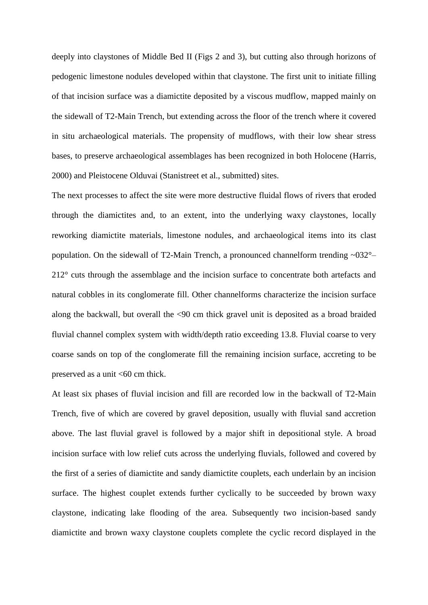deeply into claystones of Middle Bed II (Figs 2 and 3), but cutting also through horizons of pedogenic limestone nodules developed within that claystone. The first unit to initiate filling of that incision surface was a diamictite deposited by a viscous mudflow, mapped mainly on the sidewall of T2-Main Trench, but extending across the floor of the trench where it covered in situ archaeological materials. The propensity of mudflows, with their low shear stress bases, to preserve archaeological assemblages has been recognized in both Holocene (Harris, 2000) and Pleistocene Olduvai (Stanistreet et al., submitted) sites.

The next processes to affect the site were more destructive fluidal flows of rivers that eroded through the diamictites and, to an extent, into the underlying waxy claystones, locally reworking diamictite materials, limestone nodules, and archaeological items into its clast population. On the sidewall of T2-Main Trench, a pronounced channelform trending ~032°– 212° cuts through the assemblage and the incision surface to concentrate both artefacts and natural cobbles in its conglomerate fill. Other channelforms characterize the incision surface along the backwall, but overall the <90 cm thick gravel unit is deposited as a broad braided fluvial channel complex system with width/depth ratio exceeding 13.8. Fluvial coarse to very coarse sands on top of the conglomerate fill the remaining incision surface, accreting to be preserved as a unit <60 cm thick.

At least six phases of fluvial incision and fill are recorded low in the backwall of T2-Main Trench, five of which are covered by gravel deposition, usually with fluvial sand accretion above. The last fluvial gravel is followed by a major shift in depositional style. A broad incision surface with low relief cuts across the underlying fluvials, followed and covered by the first of a series of diamictite and sandy diamictite couplets, each underlain by an incision surface. The highest couplet extends further cyclically to be succeeded by brown waxy claystone, indicating lake flooding of the area. Subsequently two incision-based sandy diamictite and brown waxy claystone couplets complete the cyclic record displayed in the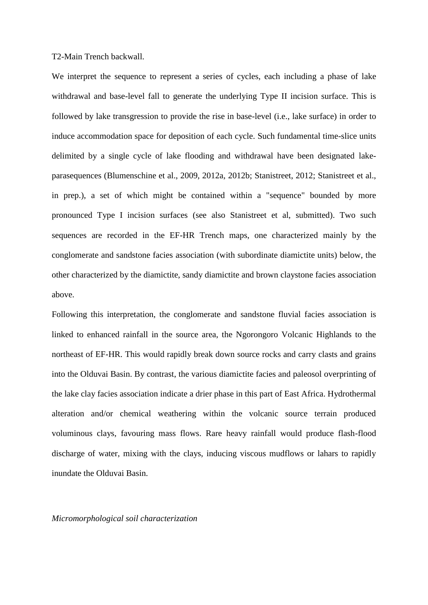T2-Main Trench backwall.

We interpret the sequence to represent a series of cycles, each including a phase of lake withdrawal and base-level fall to generate the underlying Type II incision surface. This is followed by lake transgression to provide the rise in base-level (i.e., lake surface) in order to induce accommodation space for deposition of each cycle. Such fundamental time-slice units delimited by a single cycle of lake flooding and withdrawal have been designated lakeparasequences (Blumenschine et al., 2009, 2012a, 2012b; Stanistreet, 2012; Stanistreet et al., in prep.), a set of which might be contained within a "sequence" bounded by more pronounced Type I incision surfaces (see also Stanistreet et al, submitted). Two such sequences are recorded in the EF-HR Trench maps, one characterized mainly by the conglomerate and sandstone facies association (with subordinate diamictite units) below, the other characterized by the diamictite, sandy diamictite and brown claystone facies association above.

Following this interpretation, the conglomerate and sandstone fluvial facies association is linked to enhanced rainfall in the source area, the Ngorongoro Volcanic Highlands to the northeast of EF-HR. This would rapidly break down source rocks and carry clasts and grains into the Olduvai Basin. By contrast, the various diamictite facies and paleosol overprinting of the lake clay facies association indicate a drier phase in this part of East Africa. Hydrothermal alteration and/or chemical weathering within the volcanic source terrain produced voluminous clays, favouring mass flows. Rare heavy rainfall would produce flash-flood discharge of water, mixing with the clays, inducing viscous mudflows or lahars to rapidly inundate the Olduvai Basin.

*Micromorphological soil characterization*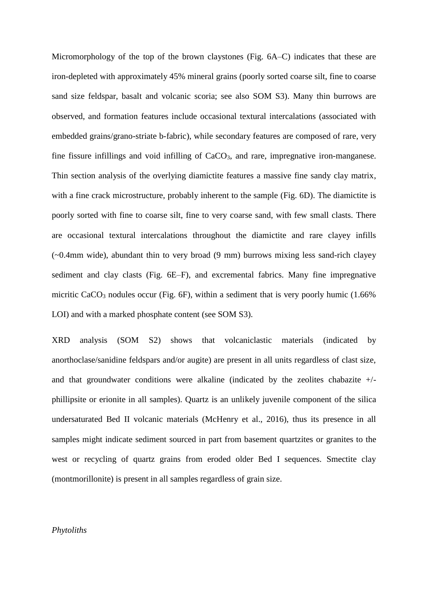Micromorphology of the top of the brown claystones (Fig. 6A–C) indicates that these are iron-depleted with approximately 45% mineral grains (poorly sorted coarse silt, fine to coarse sand size feldspar, basalt and volcanic scoria; see also SOM S3). Many thin burrows are observed, and formation features include occasional textural intercalations (associated with embedded grains/grano-striate b-fabric), while secondary features are composed of rare, very fine fissure infillings and void infilling of  $CaCO<sub>3</sub>$ , and rare, impregnative iron-manganese. Thin section analysis of the overlying diamictite features a massive fine sandy clay matrix, with a fine crack microstructure, probably inherent to the sample (Fig. 6D). The diamictite is poorly sorted with fine to coarse silt, fine to very coarse sand, with few small clasts. There are occasional textural intercalations throughout the diamictite and rare clayey infills (~0.4mm wide), abundant thin to very broad (9 mm) burrows mixing less sand-rich clayey sediment and clay clasts (Fig. 6E–F), and excremental fabrics. Many fine impregnative micritic CaCO<sub>3</sub> nodules occur (Fig.  $6F$ ), within a sediment that is very poorly humic (1.66%) LOI) and with a marked phosphate content (see SOM S3).

XRD analysis (SOM S2) shows that volcaniclastic materials (indicated by anorthoclase/sanidine feldspars and/or augite) are present in all units regardless of clast size, and that groundwater conditions were alkaline (indicated by the zeolites chabazite  $+/$ phillipsite or erionite in all samples). Quartz is an unlikely juvenile component of the silica undersaturated Bed II volcanic materials (McHenry et al., 2016), thus its presence in all samples might indicate sediment sourced in part from basement quartzites or granites to the west or recycling of quartz grains from eroded older Bed I sequences. Smectite clay (montmorillonite) is present in all samples regardless of grain size.

## *Phytoliths*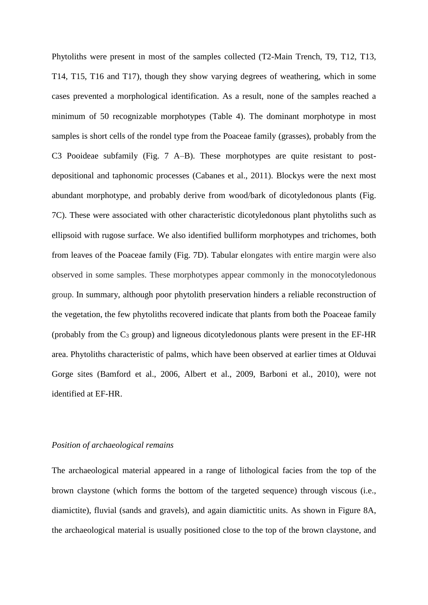Phytoliths were present in most of the samples collected (T2-Main Trench, T9, T12, T13, T14, T15, T16 and T17), though they show varying degrees of weathering, which in some cases prevented a morphological identification. As a result, none of the samples reached a minimum of 50 recognizable morphotypes (Table 4). The dominant morphotype in most samples is short cells of the rondel type from the Poaceae family (grasses), probably from the C3 Pooideae subfamily (Fig. 7 A–B). These morphotypes are quite resistant to postdepositional and taphonomic processes (Cabanes et al., 2011). Blockys were the next most abundant morphotype, and probably derive from wood/bark of dicotyledonous plants (Fig. 7C). These were associated with other characteristic dicotyledonous plant phytoliths such as ellipsoid with rugose surface. We also identified bulliform morphotypes and trichomes, both from leaves of the Poaceae family (Fig. 7D). Tabular elongates with entire margin were also observed in some samples. These morphotypes appear commonly in the monocotyledonous group. In summary, although poor phytolith preservation hinders a reliable reconstruction of the vegetation, the few phytoliths recovered indicate that plants from both the Poaceae family (probably from the  $C_3$  group) and ligneous dicotyledonous plants were present in the EF-HR area. Phytoliths characteristic of palms, which have been observed at earlier times at Olduvai Gorge sites (Bamford et al., 2006, Albert et al., 2009, Barboni et al., 2010), were not identified at EF-HR.

# *Position of archaeological remains*

The archaeological material appeared in a range of lithological facies from the top of the brown claystone (which forms the bottom of the targeted sequence) through viscous (i.e., diamictite), fluvial (sands and gravels), and again diamictitic units. As shown in Figure 8A, the archaeological material is usually positioned close to the top of the brown claystone, and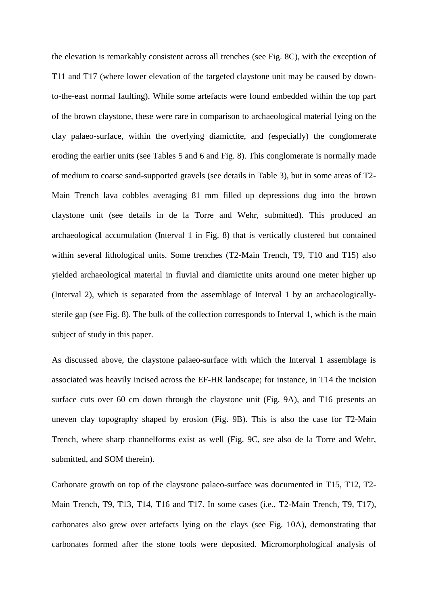the elevation is remarkably consistent across all trenches (see Fig. 8C), with the exception of T11 and T17 (where lower elevation of the targeted claystone unit may be caused by downto-the-east normal faulting). While some artefacts were found embedded within the top part of the brown claystone, these were rare in comparison to archaeological material lying on the clay palaeo-surface, within the overlying diamictite, and (especially) the conglomerate eroding the earlier units (see Tables 5 and 6 and Fig. 8). This conglomerate is normally made of medium to coarse sand-supported gravels (see details in Table 3), but in some areas of T2- Main Trench lava cobbles averaging 81 mm filled up depressions dug into the brown claystone unit (see details in de la Torre and Wehr, submitted). This produced an archaeological accumulation (Interval 1 in Fig. 8) that is vertically clustered but contained within several lithological units. Some trenches (T2-Main Trench, T9, T10 and T15) also yielded archaeological material in fluvial and diamictite units around one meter higher up (Interval 2), which is separated from the assemblage of Interval 1 by an archaeologicallysterile gap (see Fig. 8). The bulk of the collection corresponds to Interval 1, which is the main subject of study in this paper.

As discussed above, the claystone palaeo-surface with which the Interval 1 assemblage is associated was heavily incised across the EF-HR landscape; for instance, in T14 the incision surface cuts over 60 cm down through the claystone unit (Fig. 9A), and T16 presents an uneven clay topography shaped by erosion (Fig. 9B). This is also the case for T2-Main Trench, where sharp channelforms exist as well (Fig. 9C, see also de la Torre and Wehr, submitted, and SOM therein).

Carbonate growth on top of the claystone palaeo-surface was documented in T15, T12, T2- Main Trench, T9, T13, T14, T16 and T17. In some cases (i.e., T2-Main Trench, T9, T17), carbonates also grew over artefacts lying on the clays (see Fig. 10A), demonstrating that carbonates formed after the stone tools were deposited. Micromorphological analysis of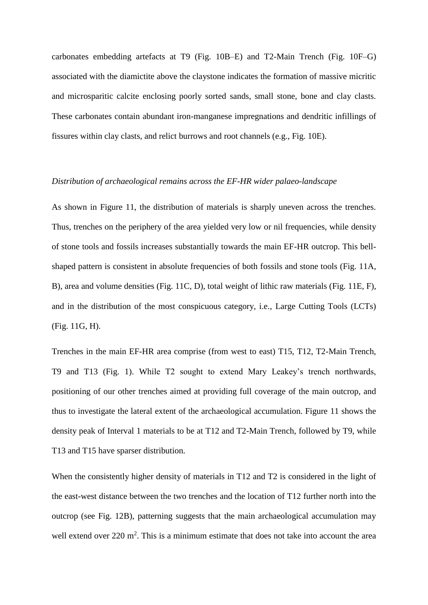carbonates embedding artefacts at T9 (Fig. 10B–E) and T2-Main Trench (Fig. 10F–G) associated with the diamictite above the claystone indicates the formation of massive micritic and microsparitic calcite enclosing poorly sorted sands, small stone, bone and clay clasts. These carbonates contain abundant iron-manganese impregnations and dendritic infillings of fissures within clay clasts, and relict burrows and root channels (e.g., Fig. 10E).

### *Distribution of archaeological remains across the EF-HR wider palaeo-landscape*

As shown in Figure 11, the distribution of materials is sharply uneven across the trenches. Thus, trenches on the periphery of the area yielded very low or nil frequencies, while density of stone tools and fossils increases substantially towards the main EF-HR outcrop. This bellshaped pattern is consistent in absolute frequencies of both fossils and stone tools (Fig. 11A, B), area and volume densities (Fig. 11C, D), total weight of lithic raw materials (Fig. 11E, F), and in the distribution of the most conspicuous category, i.e., Large Cutting Tools (LCTs) (Fig. 11G, H).

Trenches in the main EF-HR area comprise (from west to east) T15, T12, T2-Main Trench, T9 and T13 (Fig. 1). While T2 sought to extend Mary Leakey's trench northwards, positioning of our other trenches aimed at providing full coverage of the main outcrop, and thus to investigate the lateral extent of the archaeological accumulation. Figure 11 shows the density peak of Interval 1 materials to be at T12 and T2-Main Trench, followed by T9, while T13 and T15 have sparser distribution.

When the consistently higher density of materials in T12 and T2 is considered in the light of the east-west distance between the two trenches and the location of T12 further north into the outcrop (see Fig. 12B), patterning suggests that the main archaeological accumulation may well extend over  $220 \text{ m}^2$ . This is a minimum estimate that does not take into account the area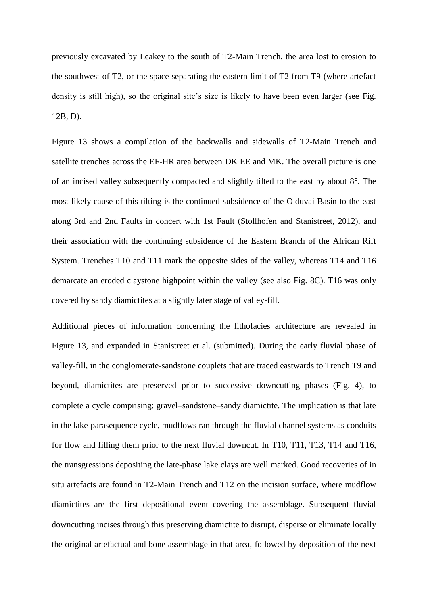previously excavated by Leakey to the south of T2-Main Trench, the area lost to erosion to the southwest of T2, or the space separating the eastern limit of T2 from T9 (where artefact density is still high), so the original site's size is likely to have been even larger (see Fig. 12B, D).

Figure 13 shows a compilation of the backwalls and sidewalls of T2-Main Trench and satellite trenches across the EF-HR area between DK EE and MK. The overall picture is one of an incised valley subsequently compacted and slightly tilted to the east by about 8°. The most likely cause of this tilting is the continued subsidence of the Olduvai Basin to the east along 3rd and 2nd Faults in concert with 1st Fault (Stollhofen and Stanistreet, 2012), and their association with the continuing subsidence of the Eastern Branch of the African Rift System. Trenches T10 and T11 mark the opposite sides of the valley, whereas T14 and T16 demarcate an eroded claystone highpoint within the valley (see also Fig. 8C). T16 was only covered by sandy diamictites at a slightly later stage of valley-fill.

Additional pieces of information concerning the lithofacies architecture are revealed in Figure 13, and expanded in Stanistreet et al. (submitted). During the early fluvial phase of valley-fill, in the conglomerate-sandstone couplets that are traced eastwards to Trench T9 and beyond, diamictites are preserved prior to successive downcutting phases (Fig. 4), to complete a cycle comprising: gravel–sandstone–sandy diamictite. The implication is that late in the lake-parasequence cycle, mudflows ran through the fluvial channel systems as conduits for flow and filling them prior to the next fluvial downcut. In T10, T11, T13, T14 and T16, the transgressions depositing the late-phase lake clays are well marked. Good recoveries of in situ artefacts are found in T2-Main Trench and T12 on the incision surface, where mudflow diamictites are the first depositional event covering the assemblage. Subsequent fluvial downcutting incises through this preserving diamictite to disrupt, disperse or eliminate locally the original artefactual and bone assemblage in that area, followed by deposition of the next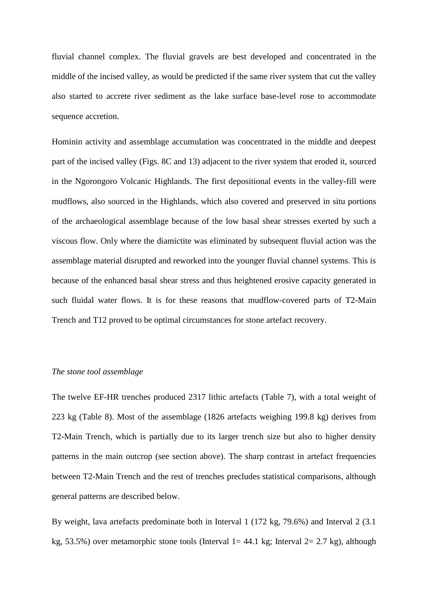fluvial channel complex. The fluvial gravels are best developed and concentrated in the middle of the incised valley, as would be predicted if the same river system that cut the valley also started to accrete river sediment as the lake surface base-level rose to accommodate sequence accretion.

Hominin activity and assemblage accumulation was concentrated in the middle and deepest part of the incised valley (Figs. 8C and 13) adjacent to the river system that eroded it, sourced in the Ngorongoro Volcanic Highlands. The first depositional events in the valley-fill were mudflows, also sourced in the Highlands, which also covered and preserved in situ portions of the archaeological assemblage because of the low basal shear stresses exerted by such a viscous flow. Only where the diamictite was eliminated by subsequent fluvial action was the assemblage material disrupted and reworked into the younger fluvial channel systems. This is because of the enhanced basal shear stress and thus heightened erosive capacity generated in such fluidal water flows. It is for these reasons that mudflow-covered parts of T2-Main Trench and T12 proved to be optimal circumstances for stone artefact recovery.

# *The stone tool assemblage*

The twelve EF-HR trenches produced 2317 lithic artefacts (Table 7), with a total weight of 223 kg (Table 8). Most of the assemblage (1826 artefacts weighing 199.8 kg) derives from T2-Main Trench, which is partially due to its larger trench size but also to higher density patterns in the main outcrop (see section above). The sharp contrast in artefact frequencies between T2-Main Trench and the rest of trenches precludes statistical comparisons, although general patterns are described below.

By weight, lava artefacts predominate both in Interval 1 (172 kg, 79.6%) and Interval 2 (3.1 kg, 53.5%) over metamorphic stone tools (Interval  $1=44.1$  kg; Interval  $2=2.7$  kg), although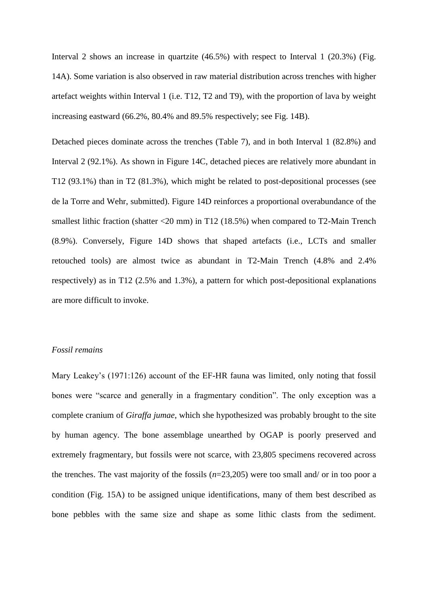Interval 2 shows an increase in quartzite (46.5%) with respect to Interval 1 (20.3%) (Fig. 14A). Some variation is also observed in raw material distribution across trenches with higher artefact weights within Interval 1 (i.e. T12, T2 and T9), with the proportion of lava by weight increasing eastward (66.2%, 80.4% and 89.5% respectively; see Fig. 14B).

Detached pieces dominate across the trenches (Table 7), and in both Interval 1 (82.8%) and Interval 2 (92.1%). As shown in Figure 14C, detached pieces are relatively more abundant in T12 (93.1%) than in T2 (81.3%), which might be related to post-depositional processes (see de la Torre and Wehr, submitted). Figure 14D reinforces a proportional overabundance of the smallest lithic fraction (shatter <20 mm) in T12 (18.5%) when compared to T2-Main Trench (8.9%). Conversely, Figure 14D shows that shaped artefacts (i.e., LCTs and smaller retouched tools) are almost twice as abundant in T2-Main Trench (4.8% and 2.4% respectively) as in T12 (2.5% and 1.3%), a pattern for which post-depositional explanations are more difficult to invoke.

# *Fossil remains*

Mary Leakey's (1971:126) account of the EF-HR fauna was limited, only noting that fossil bones were "scarce and generally in a fragmentary condition". The only exception was a complete cranium of *Giraffa jumae*, which she hypothesized was probably brought to the site by human agency. The bone assemblage unearthed by OGAP is poorly preserved and extremely fragmentary, but fossils were not scarce, with 23,805 specimens recovered across the trenches. The vast majority of the fossils (*n*=23,205) were too small and/ or in too poor a condition (Fig. 15A) to be assigned unique identifications, many of them best described as bone pebbles with the same size and shape as some lithic clasts from the sediment.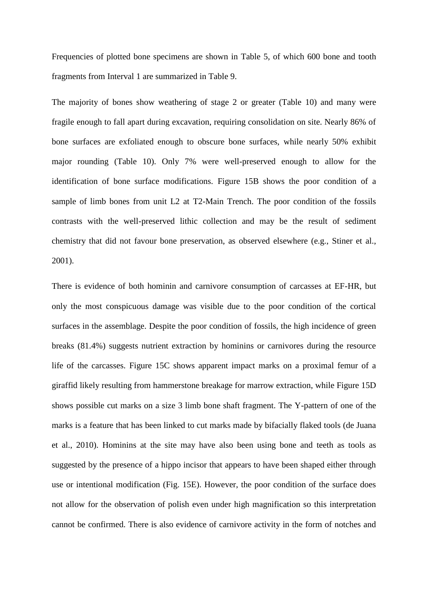Frequencies of plotted bone specimens are shown in Table 5, of which 600 bone and tooth fragments from Interval 1 are summarized in Table 9.

The majority of bones show weathering of stage 2 or greater (Table 10) and many were fragile enough to fall apart during excavation, requiring consolidation on site. Nearly 86% of bone surfaces are exfoliated enough to obscure bone surfaces, while nearly 50% exhibit major rounding (Table 10). Only 7% were well-preserved enough to allow for the identification of bone surface modifications. Figure 15B shows the poor condition of a sample of limb bones from unit L2 at T2-Main Trench. The poor condition of the fossils contrasts with the well-preserved lithic collection and may be the result of sediment chemistry that did not favour bone preservation, as observed elsewhere (e.g., Stiner et al., 2001).

There is evidence of both hominin and carnivore consumption of carcasses at EF-HR, but only the most conspicuous damage was visible due to the poor condition of the cortical surfaces in the assemblage. Despite the poor condition of fossils, the high incidence of green breaks (81.4%) suggests nutrient extraction by hominins or carnivores during the resource life of the carcasses. Figure 15C shows apparent impact marks on a proximal femur of a giraffid likely resulting from hammerstone breakage for marrow extraction, while Figure 15D shows possible cut marks on a size 3 limb bone shaft fragment. The Y-pattern of one of the marks is a feature that has been linked to cut marks made by bifacially flaked tools (de Juana et al., 2010). Hominins at the site may have also been using bone and teeth as tools as suggested by the presence of a hippo incisor that appears to have been shaped either through use or intentional modification (Fig. 15E). However, the poor condition of the surface does not allow for the observation of polish even under high magnification so this interpretation cannot be confirmed. There is also evidence of carnivore activity in the form of notches and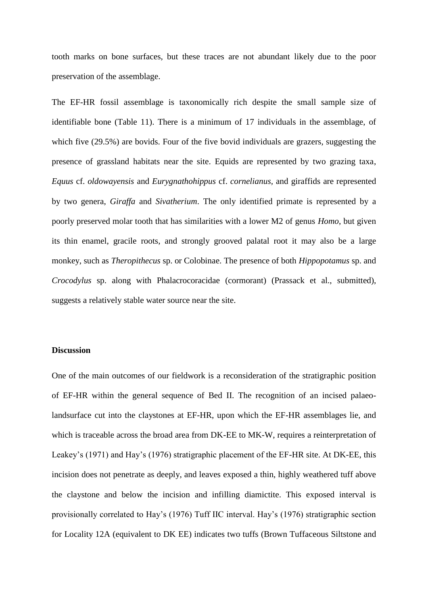tooth marks on bone surfaces, but these traces are not abundant likely due to the poor preservation of the assemblage.

The EF-HR fossil assemblage is taxonomically rich despite the small sample size of identifiable bone (Table 11). There is a minimum of 17 individuals in the assemblage, of which five (29.5%) are bovids. Four of the five bovid individuals are grazers, suggesting the presence of grassland habitats near the site. Equids are represented by two grazing taxa, *Equus* cf. *oldowayensis* and *Eurygnathohippus* cf. *cornelianus,* and giraffids are represented by two genera, *Giraffa* and *Sivatherium*. The only identified primate is represented by a poorly preserved molar tooth that has similarities with a lower M2 of genus *Homo*, but given its thin enamel, gracile roots, and strongly grooved palatal root it may also be a large monkey, such as *Theropithecus* sp. or Colobinae. The presence of both *Hippopotamus* sp. and *Crocodylus* sp. along with Phalacrocoracidae (cormorant) (Prassack et al., submitted), suggests a relatively stable water source near the site.

# **Discussion**

One of the main outcomes of our fieldwork is a reconsideration of the stratigraphic position of EF-HR within the general sequence of Bed II. The recognition of an incised palaeolandsurface cut into the claystones at EF-HR, upon which the EF-HR assemblages lie, and which is traceable across the broad area from DK-EE to MK-W, requires a reinterpretation of Leakey's (1971) and Hay's (1976) stratigraphic placement of the EF-HR site. At DK-EE, this incision does not penetrate as deeply, and leaves exposed a thin, highly weathered tuff above the claystone and below the incision and infilling diamictite. This exposed interval is provisionally correlated to Hay's (1976) Tuff IIC interval. Hay's (1976) stratigraphic section for Locality 12A (equivalent to DK EE) indicates two tuffs (Brown Tuffaceous Siltstone and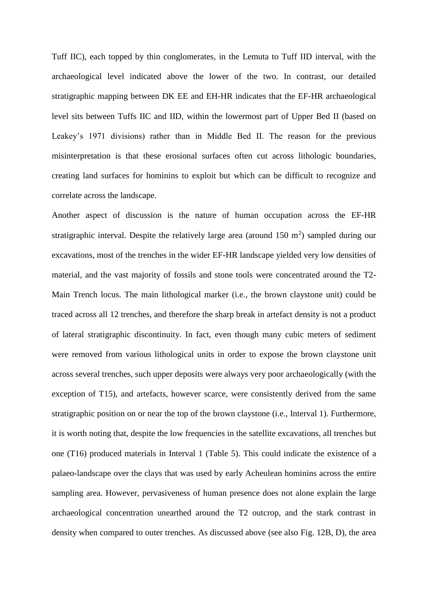Tuff IIC), each topped by thin conglomerates, in the Lemuta to Tuff IID interval, with the archaeological level indicated above the lower of the two. In contrast, our detailed stratigraphic mapping between DK EE and EH-HR indicates that the EF-HR archaeological level sits between Tuffs IIC and IID, within the lowermost part of Upper Bed II (based on Leakey's 1971 divisions) rather than in Middle Bed II. The reason for the previous misinterpretation is that these erosional surfaces often cut across lithologic boundaries, creating land surfaces for hominins to exploit but which can be difficult to recognize and correlate across the landscape.

Another aspect of discussion is the nature of human occupation across the EF-HR stratigraphic interval. Despite the relatively large area (around  $150 \text{ m}^2$ ) sampled during our excavations, most of the trenches in the wider EF-HR landscape yielded very low densities of material, and the vast majority of fossils and stone tools were concentrated around the T2- Main Trench locus. The main lithological marker (i.e., the brown claystone unit) could be traced across all 12 trenches, and therefore the sharp break in artefact density is not a product of lateral stratigraphic discontinuity. In fact, even though many cubic meters of sediment were removed from various lithological units in order to expose the brown claystone unit across several trenches, such upper deposits were always very poor archaeologically (with the exception of T15), and artefacts, however scarce, were consistently derived from the same stratigraphic position on or near the top of the brown claystone (i.e., Interval 1). Furthermore, it is worth noting that, despite the low frequencies in the satellite excavations, all trenches but one (T16) produced materials in Interval 1 (Table 5). This could indicate the existence of a palaeo-landscape over the clays that was used by early Acheulean hominins across the entire sampling area. However, pervasiveness of human presence does not alone explain the large archaeological concentration unearthed around the T2 outcrop, and the stark contrast in density when compared to outer trenches. As discussed above (see also Fig. 12B, D), the area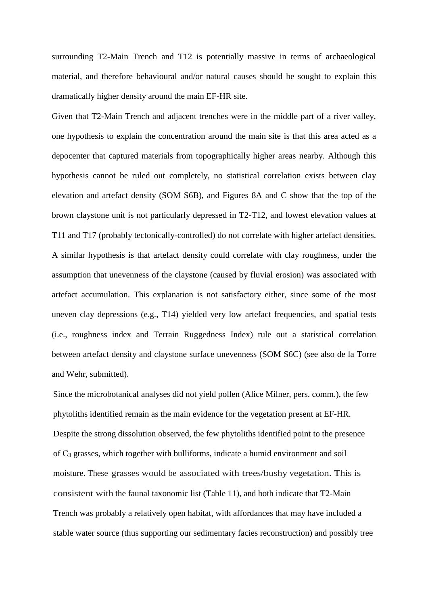surrounding T2-Main Trench and T12 is potentially massive in terms of archaeological material, and therefore behavioural and/or natural causes should be sought to explain this dramatically higher density around the main EF-HR site.

Given that T2-Main Trench and adjacent trenches were in the middle part of a river valley, one hypothesis to explain the concentration around the main site is that this area acted as a depocenter that captured materials from topographically higher areas nearby. Although this hypothesis cannot be ruled out completely, no statistical correlation exists between clay elevation and artefact density (SOM S6B), and Figures 8A and C show that the top of the brown claystone unit is not particularly depressed in T2-T12, and lowest elevation values at T11 and T17 (probably tectonically-controlled) do not correlate with higher artefact densities. A similar hypothesis is that artefact density could correlate with clay roughness, under the assumption that unevenness of the claystone (caused by fluvial erosion) was associated with artefact accumulation. This explanation is not satisfactory either, since some of the most uneven clay depressions (e.g., T14) yielded very low artefact frequencies, and spatial tests (i.e., roughness index and Terrain Ruggedness Index) rule out a statistical correlation between artefact density and claystone surface unevenness (SOM S6C) (see also de la Torre and Wehr, submitted).

Since the microbotanical analyses did not yield pollen (Alice Milner, pers. comm.), the few phytoliths identified remain as the main evidence for the vegetation present at EF-HR. Despite the strong dissolution observed, the few phytoliths identified point to the presence of C<sup>3</sup> grasses, which together with bulliforms, indicate a humid environment and soil moisture. These grasses would be associated with trees/bushy vegetation. This is consistent with the faunal taxonomic list (Table 11), and both indicate that T2-Main Trench was probably a relatively open habitat, with affordances that may have included a stable water source (thus supporting our sedimentary facies reconstruction) and possibly tree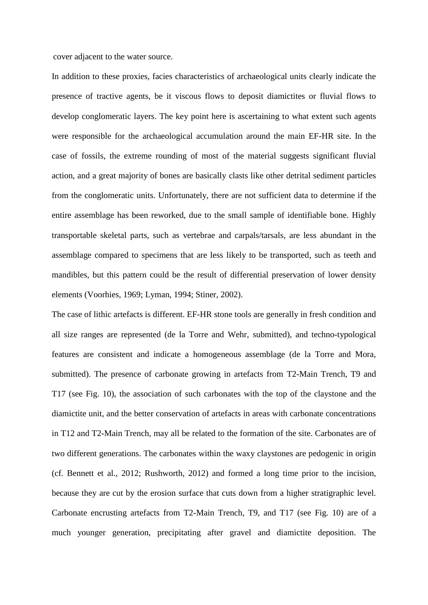cover adjacent to the water source.

In addition to these proxies, facies characteristics of archaeological units clearly indicate the presence of tractive agents, be it viscous flows to deposit diamictites or fluvial flows to develop conglomeratic layers. The key point here is ascertaining to what extent such agents were responsible for the archaeological accumulation around the main EF-HR site. In the case of fossils, the extreme rounding of most of the material suggests significant fluvial action, and a great majority of bones are basically clasts like other detrital sediment particles from the conglomeratic units. Unfortunately, there are not sufficient data to determine if the entire assemblage has been reworked, due to the small sample of identifiable bone. Highly transportable skeletal parts, such as vertebrae and carpals/tarsals, are less abundant in the assemblage compared to specimens that are less likely to be transported, such as teeth and mandibles, but this pattern could be the result of differential preservation of lower density elements (Voorhies, 1969; Lyman, 1994; Stiner, 2002).

The case of lithic artefacts is different. EF-HR stone tools are generally in fresh condition and all size ranges are represented (de la Torre and Wehr, submitted), and techno-typological features are consistent and indicate a homogeneous assemblage (de la Torre and Mora, submitted). The presence of carbonate growing in artefacts from T2-Main Trench, T9 and T17 (see Fig. 10), the association of such carbonates with the top of the claystone and the diamictite unit, and the better conservation of artefacts in areas with carbonate concentrations in T12 and T2-Main Trench, may all be related to the formation of the site. Carbonates are of two different generations. The carbonates within the waxy claystones are pedogenic in origin (cf. Bennett et al., 2012; Rushworth, 2012) and formed a long time prior to the incision, because they are cut by the erosion surface that cuts down from a higher stratigraphic level. Carbonate encrusting artefacts from T2-Main Trench, T9, and T17 (see Fig. 10) are of a much younger generation, precipitating after gravel and diamictite deposition. The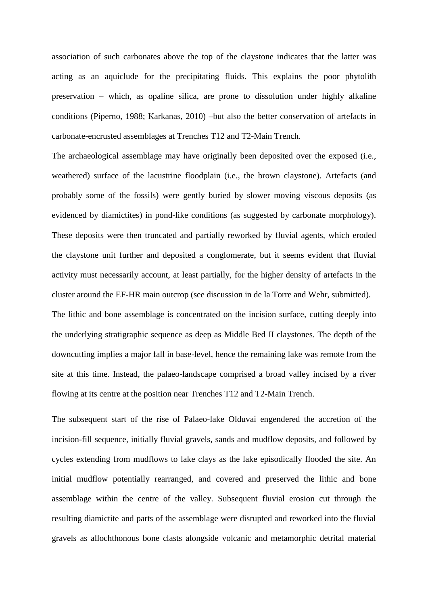association of such carbonates above the top of the claystone indicates that the latter was acting as an aquiclude for the precipitating fluids. This explains the poor phytolith preservation – which, as opaline silica, are prone to dissolution under highly alkaline conditions (Piperno, 1988; Karkanas, 2010) –but also the better conservation of artefacts in carbonate-encrusted assemblages at Trenches T12 and T2-Main Trench.

The archaeological assemblage may have originally been deposited over the exposed (i.e., weathered) surface of the lacustrine floodplain (i.e., the brown claystone). Artefacts (and probably some of the fossils) were gently buried by slower moving viscous deposits (as evidenced by diamictites) in pond-like conditions (as suggested by carbonate morphology). These deposits were then truncated and partially reworked by fluvial agents, which eroded the claystone unit further and deposited a conglomerate, but it seems evident that fluvial activity must necessarily account, at least partially, for the higher density of artefacts in the cluster around the EF-HR main outcrop (see discussion in de la Torre and Wehr, submitted). The lithic and bone assemblage is concentrated on the incision surface, cutting deeply into

the underlying stratigraphic sequence as deep as Middle Bed II claystones. The depth of the downcutting implies a major fall in base-level, hence the remaining lake was remote from the site at this time. Instead, the palaeo-landscape comprised a broad valley incised by a river flowing at its centre at the position near Trenches T12 and T2-Main Trench.

The subsequent start of the rise of Palaeo-lake Olduvai engendered the accretion of the incision-fill sequence, initially fluvial gravels, sands and mudflow deposits, and followed by cycles extending from mudflows to lake clays as the lake episodically flooded the site. An initial mudflow potentially rearranged, and covered and preserved the lithic and bone assemblage within the centre of the valley. Subsequent fluvial erosion cut through the resulting diamictite and parts of the assemblage were disrupted and reworked into the fluvial gravels as allochthonous bone clasts alongside volcanic and metamorphic detrital material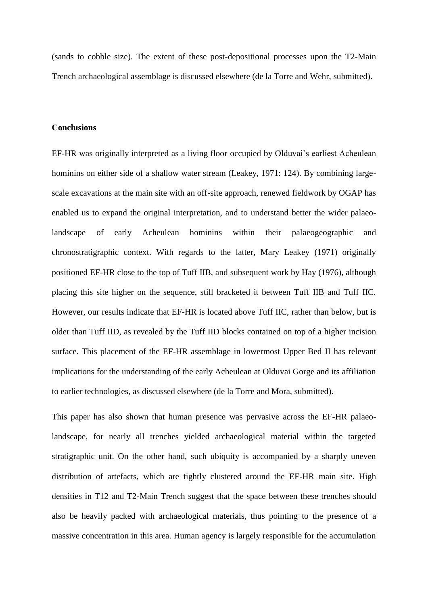(sands to cobble size). The extent of these post-depositional processes upon the T2-Main Trench archaeological assemblage is discussed elsewhere (de la Torre and Wehr, submitted).

#### **Conclusions**

EF-HR was originally interpreted as a living floor occupied by Olduvai's earliest Acheulean hominins on either side of a shallow water stream (Leakey, 1971: 124). By combining largescale excavations at the main site with an off-site approach, renewed fieldwork by OGAP has enabled us to expand the original interpretation, and to understand better the wider palaeolandscape of early Acheulean hominins within their palaeogeographic and chronostratigraphic context. With regards to the latter, Mary Leakey (1971) originally positioned EF-HR close to the top of Tuff IIB, and subsequent work by Hay (1976), although placing this site higher on the sequence, still bracketed it between Tuff IIB and Tuff IIC. However, our results indicate that EF-HR is located above Tuff IIC, rather than below, but is older than Tuff IID, as revealed by the Tuff IID blocks contained on top of a higher incision surface. This placement of the EF-HR assemblage in lowermost Upper Bed II has relevant implications for the understanding of the early Acheulean at Olduvai Gorge and its affiliation to earlier technologies, as discussed elsewhere (de la Torre and Mora, submitted).

This paper has also shown that human presence was pervasive across the EF-HR palaeolandscape, for nearly all trenches yielded archaeological material within the targeted stratigraphic unit. On the other hand, such ubiquity is accompanied by a sharply uneven distribution of artefacts, which are tightly clustered around the EF-HR main site. High densities in T12 and T2-Main Trench suggest that the space between these trenches should also be heavily packed with archaeological materials, thus pointing to the presence of a massive concentration in this area. Human agency is largely responsible for the accumulation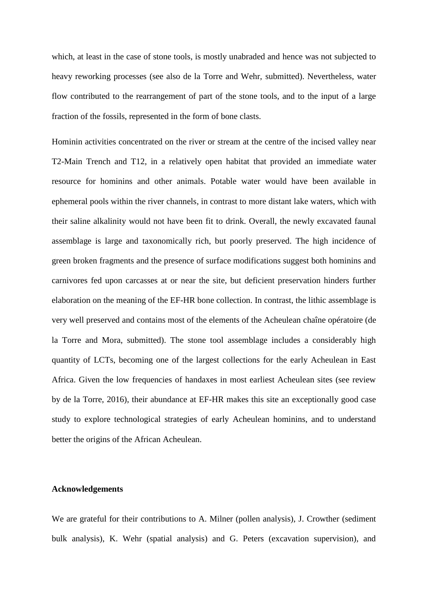which, at least in the case of stone tools, is mostly unabraded and hence was not subjected to heavy reworking processes (see also de la Torre and Wehr, submitted). Nevertheless, water flow contributed to the rearrangement of part of the stone tools, and to the input of a large fraction of the fossils, represented in the form of bone clasts.

Hominin activities concentrated on the river or stream at the centre of the incised valley near T2-Main Trench and T12, in a relatively open habitat that provided an immediate water resource for hominins and other animals. Potable water would have been available in ephemeral pools within the river channels, in contrast to more distant lake waters, which with their saline alkalinity would not have been fit to drink. Overall, the newly excavated faunal assemblage is large and taxonomically rich, but poorly preserved. The high incidence of green broken fragments and the presence of surface modifications suggest both hominins and carnivores fed upon carcasses at or near the site, but deficient preservation hinders further elaboration on the meaning of the EF-HR bone collection. In contrast, the lithic assemblage is very well preserved and contains most of the elements of the Acheulean chaîne opératoire (de la Torre and Mora, submitted). The stone tool assemblage includes a considerably high quantity of LCTs, becoming one of the largest collections for the early Acheulean in East Africa. Given the low frequencies of handaxes in most earliest Acheulean sites (see review by de la Torre, 2016), their abundance at EF-HR makes this site an exceptionally good case study to explore technological strategies of early Acheulean hominins, and to understand better the origins of the African Acheulean.

### **Acknowledgements**

We are grateful for their contributions to A. Milner (pollen analysis), J. Crowther (sediment bulk analysis), K. Wehr (spatial analysis) and G. Peters (excavation supervision), and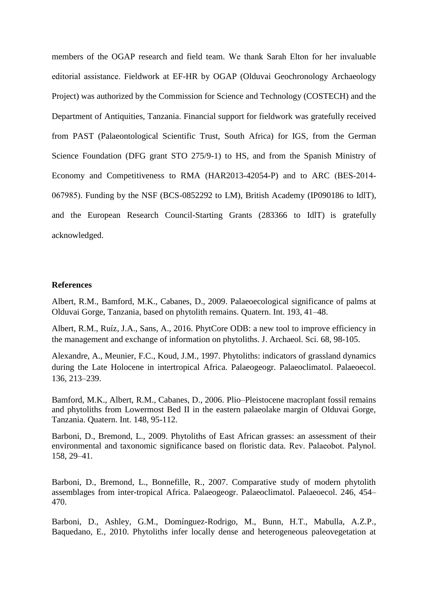members of the OGAP research and field team. We thank Sarah Elton for her invaluable editorial assistance. Fieldwork at EF-HR by OGAP (Olduvai Geochronology Archaeology Project) was authorized by the Commission for Science and Technology (COSTECH) and the Department of Antiquities, Tanzania. Financial support for fieldwork was gratefully received from PAST (Palaeontological Scientific Trust, South Africa) for IGS, from the German Science Foundation (DFG grant STO 275/9-1) to HS, and from the Spanish Ministry of Economy and Competitiveness to RMA (HAR2013-42054-P) and to ARC (BES-2014- 067985). Funding by the NSF (BCS-0852292 to LM), British Academy (IP090186 to IdlT), and the European Research Council-Starting Grants (283366 to IdlT) is gratefully acknowledged.

#### **References**

Albert, R.M., Bamford, M.K., Cabanes, D., 2009. Palaeoecological significance of palms at Olduvai Gorge, Tanzania, based on phytolith remains. Quatern. Int. 193, 41–48.

Albert, R.M., Ruíz, J.A., Sans, A., 2016. PhytCore ODB: a new tool to improve efficiency in the management and exchange of information on phytoliths. J. Archaeol. Sci. 68, 98-105.

Alexandre, A., Meunier, F.C., Koud, J.M., 1997. Phytoliths: indicators of grassland dynamics during the Late Holocene in intertropical Africa. Palaeogeogr. Palaeoclimatol. Palaeoecol. 136, 213–239.

Bamford, M.K., Albert, R.M., Cabanes, D., 2006. Plio–Pleistocene macroplant fossil remains and phytoliths from Lowermost Bed II in the eastern palaeolake margin of Olduvai Gorge, Tanzania. Quatern. Int. 148, 95-112.

Barboni, D., Bremond, L., 2009. Phytoliths of East African grasses: an assessment of their environmental and taxonomic significance based on floristic data. Rev. Palaeobot. Palynol. 158, 29–41.

Barboni, D., Bremond, L., Bonnefille, R., 2007. Comparative study of modern phytolith assemblages from inter-tropical Africa. Palaeogeogr. Palaeoclimatol. Palaeoecol. 246, 454– 470.

Barboni, D., Ashley, G.M., Domínguez-Rodrigo, M., Bunn, H.T., Mabulla, A.Z.P., Baquedano, E., 2010. Phytoliths infer locally dense and heterogeneous paleovegetation at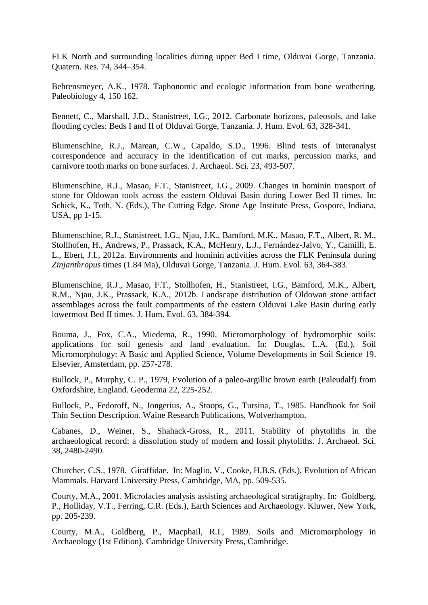FLK North and surrounding localities during upper Bed I time, Olduvai Gorge, Tanzania. Quatern. Res. 74, 344–354.

Behrensmeyer, A.K., 1978. Taphonomic and ecologic information from bone weathering. Paleobiology 4, 150 162.

Bennett, C., Marshall, J.D., Stanistreet, I.G., 2012. Carbonate horizons, paleosols, and lake flooding cycles: Beds I and II of Olduvai Gorge, Tanzania. J. Hum. Evol. 63, 328-341.

Blumenschine, R.J., Marean, C.W., Capaldo, S.D., 1996. Blind tests of interanalyst correspondence and accuracy in the identification of cut marks, percussion marks, and carnivore tooth marks on bone surfaces. J. Archaeol. Sci. 23, 493-507.

Blumenschine, R.J., Masao, F.T., Stanistreet, I.G., 2009. Changes in hominin transport of stone for Oldowan tools across the eastern Olduvai Basin during Lower Bed II times. In: Schick, K., Toth, N. (Eds.), The Cutting Edge. Stone Age Institute Press, Gospore, Indiana, USA, pp 1-15.

Blumenschine, R.J., Stanistreet, I.G., Njau, J.K., Bamford, M.K., Masao, F.T., Albert, R. M., Stollhofen, H., Andrews, P., Prassack, K.A., McHenry, L.J., Fernández-Jalvo, Y., Camilli, E. L., Ebert, J.I., 2012a. Environments and hominin activities across the FLK Peninsula during *Zinjanthropus* times (1.84 Ma), Olduvai Gorge, Tanzania. J. Hum. Evol. 63, 364-383.

Blumenschine, R.J., Masao, F.T., Stollhofen, H., Stanistreet, I.G., Bamford, M.K., Albert, R.M., Njau, J.K., Prassack, K.A., 2012b. Landscape distribution of Oldowan stone artifact assemblages across the fault compartments of the eastern Olduvai Lake Basin during early lowermost Bed II times. J. Hum. Evol. 63, 384-394.

Bouma, J., Fox, C.A., Miedema, R., 1990. Micromorphology of hydromorphic soils: applications for soil genesis and land evaluation. In: Douglas, L.A. (Ed.), Soil Micromorphology: A Basic and Applied Science, Volume Developments in Soil Science 19. Elsevier, Amsterdam, pp. 257-278.

Bullock, P., Murphy, C. P., 1979, Evolution of a paleo-argillic brown earth (Paleudalf) from Oxfordshire, England. Geoderma 22, 225-252.

Bullock, P., Fedoroff, N., Jongerius, A., Stoops, G., Tursina, T., 1985. Handbook for Soil Thin Section Description. Waine Research Publications, Wolverhampton.

Cabanes, D., Weiner, S., Shahack-Gross, R., 2011. Stability of phytoliths in the archaeological record: a dissolution study of modern and fossil phytoliths. J. Archaeol. Sci. 38, 2480-2490.

Churcher, C.S., 1978. Giraffidae. In: Maglio, V., Cooke, H.B.S. (Eds.), Evolution of African Mammals. Harvard University Press, Cambridge, MA, pp. 509-535.

Courty, M.A., 2001. Microfacies analysis assisting archaeological stratigraphy. In: Goldberg, P., Holliday, V.T., Ferring, C.R. (Eds.), Earth Sciences and Archaeology. Kluwer, New York, pp. 205-239.

Courty, M.A., Goldberg, P., Macphail, R.I., 1989. Soils and Micromorphology in Archaeology (1st Edition). Cambridge University Press, Cambridge.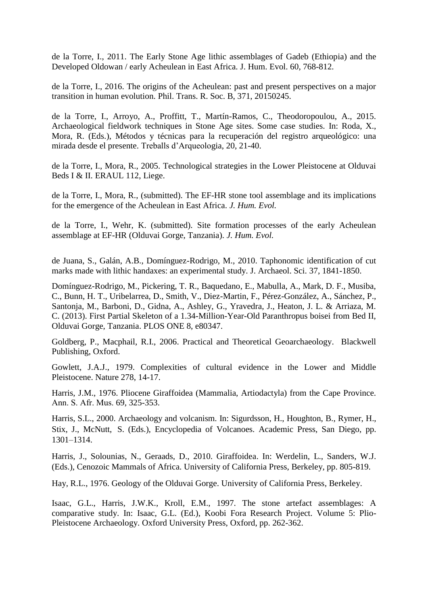de la Torre, I., 2011. The Early Stone Age lithic assemblages of Gadeb (Ethiopia) and the Developed Oldowan / early Acheulean in East Africa. J. Hum. Evol. 60, 768-812.

de la Torre, I., 2016. The origins of the Acheulean: past and present perspectives on a major transition in human evolution. Phil. Trans. R. Soc. B, 371, 20150245.

de la Torre, I., Arroyo, A., Proffitt, T., Martín-Ramos, C., Theodoropoulou, A., 2015. Archaeological fieldwork techniques in Stone Age sites. Some case studies. In: Roda, X., Mora, R. (Eds.), Métodos y técnicas para la recuperación del registro arqueológico: una mirada desde el presente. Treballs d'Arqueologia, 20, 21-40.

de la Torre, I., Mora, R., 2005. Technological strategies in the Lower Pleistocene at Olduvai Beds I & II. ERAUL 112, Liege.

de la Torre, I., Mora, R., (submitted). The EF-HR stone tool assemblage and its implications for the emergence of the Acheulean in East Africa. *J. Hum. Evol.*

de la Torre, I., Wehr, K. (submitted). Site formation processes of the early Acheulean assemblage at EF-HR (Olduvai Gorge, Tanzania). *J. Hum. Evol.*

de Juana, S., Galán, A.B., Domínguez-Rodrigo, M., 2010. Taphonomic identification of cut marks made with lithic handaxes: an experimental study. J. Archaeol. Sci. 37, 1841-1850.

Domínguez-Rodrigo, M., Pickering, T. R., Baquedano, E., Mabulla, A., Mark, D. F., Musiba, C., Bunn, H. T., Uribelarrea, D., Smith, V., Diez-Martin, F., Pérez-González, A., Sánchez, P., Santonja, M., Barboni, D., Gidna, A., Ashley, G., Yravedra, J., Heaton, J. L. & Arriaza, M. C. (2013). First Partial Skeleton of a 1.34-Million-Year-Old Paranthropus boisei from Bed II, Olduvai Gorge, Tanzania. PLOS ONE 8, e80347.

Goldberg, P., Macphail, R.I., 2006. Practical and Theoretical Geoarchaeology. Blackwell Publishing, Oxford.

Gowlett, J.A.J., 1979. Complexities of cultural evidence in the Lower and Middle Pleistocene. Nature 278, 14-17.

Harris, J.M., 1976. Pliocene Giraffoidea (Mammalia, Artiodactyla) from the Cape Province. Ann. S. Afr. Mus. 69, 325-353.

Harris, S.L., 2000. Archaeology and volcanism. In: Sigurdsson, H., Houghton, B., Rymer, H., Stix, J., McNutt, S. (Eds.), Encyclopedia of Volcanoes. Academic Press, San Diego, pp. 1301–1314.

Harris, J., Solounias, N., Geraads, D., 2010. Giraffoidea. In: Werdelin, L., Sanders, W.J. (Eds.), Cenozoic Mammals of Africa. University of California Press, Berkeley, pp. 805-819.

Hay, R.L., 1976. Geology of the Olduvai Gorge. University of California Press, Berkeley.

Isaac, G.L., Harris, J.W.K., Kroll, E.M., 1997. The stone artefact assemblages: A comparative study. In: Isaac, G.L. (Ed.), Koobi Fora Research Project. Volume 5: Plio-Pleistocene Archaeology. Oxford University Press, Oxford, pp. 262-362.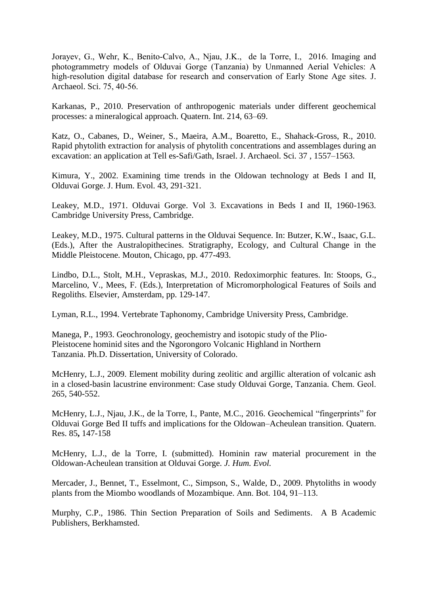Jorayev, G., Wehr, K., Benito-Calvo, A., Njau, J.K., de la Torre, I., 2016. Imaging and photogrammetry models of Olduvai Gorge (Tanzania) by Unmanned Aerial Vehicles: A high-resolution digital database for research and conservation of Early Stone Age sites. J. Archaeol. Sci. 75, 40-56.

Karkanas, P., 2010. Preservation of anthropogenic materials under different geochemical processes: a mineralogical approach. Quatern. Int. 214, 63–69.

Katz, O., Cabanes, D., Weiner, S., Maeira, A.M., Boaretto, E., Shahack-Gross, R., 2010. Rapid phytolith extraction for analysis of phytolith concentrations and assemblages during an excavation: an application at Tell es-Safi/Gath, Israel. J. Archaeol. Sci. 37 , 1557–1563.

Kimura, Y., 2002. Examining time trends in the Oldowan technology at Beds I and II, Olduvai Gorge. J. Hum. Evol. 43, 291-321.

Leakey, M.D., 1971. Olduvai Gorge. Vol 3. Excavations in Beds I and II, 1960-1963. Cambridge University Press, Cambridge.

Leakey, M.D., 1975. Cultural patterns in the Olduvai Sequence. In: Butzer, K.W., Isaac, G.L. (Eds.), After the Australopithecines. Stratigraphy, Ecology, and Cultural Change in the Middle Pleistocene. Mouton, Chicago, pp. 477-493.

Lindbo, D.L., Stolt, M.H., Vepraskas, M.J., 2010. Redoximorphic features. In: Stoops, G., Marcelino, V., Mees, F. (Eds.), Interpretation of Micromorphological Features of Soils and Regoliths. Elsevier, Amsterdam, pp. 129-147.

Lyman, R.L., 1994. Vertebrate Taphonomy, Cambridge University Press, Cambridge.

Manega, P., 1993. Geochronology, geochemistry and isotopic study of the Plio-Pleistocene hominid sites and the Ngorongoro Volcanic Highland in Northern Tanzania. Ph.D. Dissertation, University of Colorado.

McHenry, L.J., 2009. Element mobility during zeolitic and argillic alteration of volcanic ash in a closed-basin lacustrine environment: Case study Olduvai Gorge, Tanzania. Chem. Geol. 265, 540-552.

McHenry, L.J., Njau, J.K., de la Torre, I., Pante, M.C., 2016. Geochemical "fingerprints" for Olduvai Gorge Bed II tuffs and implications for the Oldowan–Acheulean transition. Quatern. Res. 85**,** 147-158

McHenry, L.J., de la Torre, I. (submitted). Hominin raw material procurement in the Oldowan-Acheulean transition at Olduvai Gorge. *J. Hum. Evol.*

Mercader, J., Bennet, T., Esselmont, C., Simpson, S., Walde, D., 2009. Phytoliths in woody plants from the Miombo woodlands of Mozambique. Ann. Bot. 104, 91–113.

Murphy, C.P., 1986. Thin Section Preparation of Soils and Sediments. A B Academic Publishers, Berkhamsted.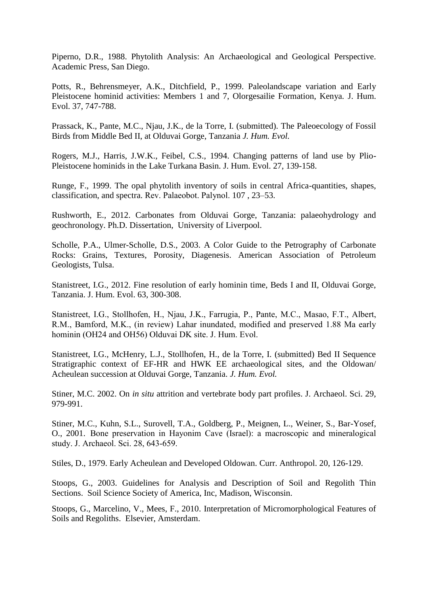Piperno, D.R., 1988. Phytolith Analysis: An Archaeological and Geological Perspective. Academic Press, San Diego.

Potts, R., Behrensmeyer, A.K., Ditchfield, P., 1999. Paleolandscape variation and Early Pleistocene hominid activities: Members 1 and 7, Olorgesailie Formation, Kenya. J. Hum. Evol. 37, 747-788.

Prassack, K., Pante, M.C., Njau, J.K., de la Torre, I. (submitted). The Paleoecology of Fossil Birds from Middle Bed II, at Olduvai Gorge, Tanzania *J. Hum. Evol.*

Rogers, M.J., Harris, J.W.K., Feibel, C.S., 1994. Changing patterns of land use by Plio-Pleistocene hominids in the Lake Turkana Basin. J. Hum. Evol. 27, 139-158.

Runge, F., 1999. The opal phytolith inventory of soils in central Africa-quantities, shapes, classification, and spectra. Rev. Palaeobot. Palynol. 107 , 23–53.

Rushworth, E., 2012. Carbonates from Olduvai Gorge, Tanzania: palaeohydrology and geochronology. Ph.D. Dissertation, University of Liverpool.

Scholle, P.A., Ulmer-Scholle, D.S., 2003. A Color Guide to the Petrography of Carbonate Rocks: Grains, Textures, Porosity, Diagenesis. American Association of Petroleum Geologists, Tulsa.

Stanistreet, I.G., 2012. Fine resolution of early hominin time, Beds I and II, Olduvai Gorge, Tanzania. J. Hum. Evol. 63, 300-308.

Stanistreet, I.G., Stollhofen, H., Njau, J.K., Farrugia, P., Pante, M.C., Masao, F.T., Albert, R.M., Bamford, M.K., (in review) Lahar inundated, modified and preserved 1.88 Ma early hominin (OH24 and OH56) Olduvai DK site. J. Hum. Evol.

Stanistreet, I.G., McHenry, L.J., Stollhofen, H., de la Torre, I. (submitted) Bed II Sequence Stratigraphic context of EF-HR and HWK EE archaeological sites, and the Oldowan/ Acheulean succession at Olduvai Gorge, Tanzania. *J. Hum. Evol.*

Stiner, M.C. 2002. On *in situ* attrition and vertebrate body part profiles. J. Archaeol. Sci. 29, 979-991.

Stiner, M.C., Kuhn, S.L., Surovell, T.A., Goldberg, P., Meignen, L., Weiner, S., Bar-Yosef, O., 2001. Bone preservation in Hayonim Cave (Israel): a macroscopic and mineralogical study. J. Archaeol. Sci. 28, 643-659.

Stiles, D., 1979. Early Acheulean and Developed Oldowan. Curr. Anthropol. 20, 126-129.

Stoops, G., 2003. Guidelines for Analysis and Description of Soil and Regolith Thin Sections. Soil Science Society of America, Inc, Madison, Wisconsin.

Stoops, G., Marcelino, V., Mees, F., 2010. Interpretation of Micromorphological Features of Soils and Regoliths. Elsevier, Amsterdam.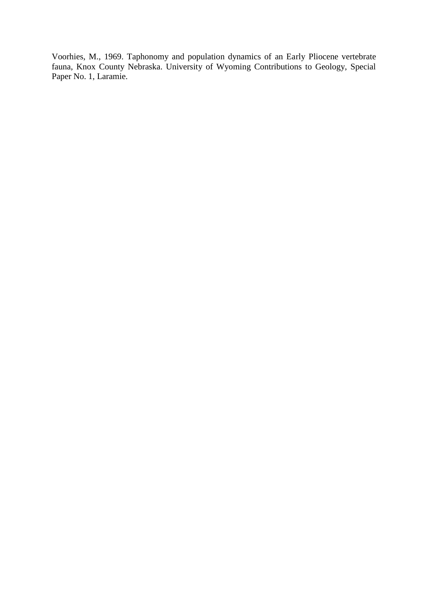Voorhies, M., 1969. Taphonomy and population dynamics of an Early Pliocene vertebrate fauna, Knox County Nebraska. University of Wyoming Contributions to Geology, Special Paper No. 1, Laramie.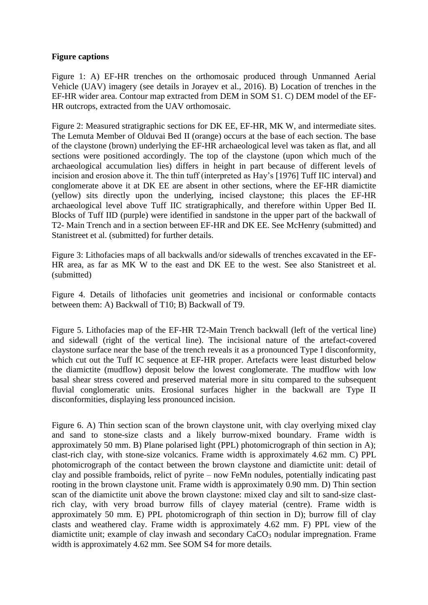# **Figure captions**

Figure 1: A) EF-HR trenches on the orthomosaic produced through Unmanned Aerial Vehicle (UAV) imagery (see details in Jorayev et al., 2016). B) Location of trenches in the EF-HR wider area. Contour map extracted from DEM in SOM S1. C) DEM model of the EF-HR outcrops, extracted from the UAV orthomosaic.

Figure 2: Measured stratigraphic sections for DK EE, EF-HR, MK W, and intermediate sites. The Lemuta Member of Olduvai Bed II (orange) occurs at the base of each section. The base of the claystone (brown) underlying the EF-HR archaeological level was taken as flat, and all sections were positioned accordingly. The top of the claystone (upon which much of the archaeological accumulation lies) differs in height in part because of different levels of incision and erosion above it. The thin tuff (interpreted as Hay's [1976] Tuff IIC interval) and conglomerate above it at DK EE are absent in other sections, where the EF-HR diamictite (yellow) sits directly upon the underlying, incised claystone; this places the EF-HR archaeological level above Tuff IIC stratigraphically, and therefore within Upper Bed II. Blocks of Tuff IID (purple) were identified in sandstone in the upper part of the backwall of T2- Main Trench and in a section between EF-HR and DK EE. See McHenry (submitted) and Stanistreet et al. (submitted) for further details.

Figure 3: Lithofacies maps of all backwalls and/or sidewalls of trenches excavated in the EF-HR area, as far as MK W to the east and DK EE to the west. See also Stanistreet et al. (submitted)

Figure 4. Details of lithofacies unit geometries and incisional or conformable contacts between them: A) Backwall of T10; B) Backwall of T9.

Figure 5. Lithofacies map of the EF-HR T2-Main Trench backwall (left of the vertical line) and sidewall (right of the vertical line). The incisional nature of the artefact-covered claystone surface near the base of the trench reveals it as a pronounced Type I disconformity, which cut out the Tuff IC sequence at EF-HR proper. Artefacts were least disturbed below the diamictite (mudflow) deposit below the lowest conglomerate. The mudflow with low basal shear stress covered and preserved material more in situ compared to the subsequent fluvial conglomeratic units. Erosional surfaces higher in the backwall are Type II disconformities, displaying less pronounced incision.

Figure 6. A) Thin section scan of the brown claystone unit, with clay overlying mixed clay and sand to stone-size clasts and a likely burrow-mixed boundary. Frame width is approximately 50 mm. B) Plane polarised light (PPL) photomicrograph of thin section in A); clast-rich clay, with stone-size volcanics. Frame width is approximately 4.62 mm. C) PPL photomicrograph of the contact between the brown claystone and diamictite unit: detail of clay and possible framboids, relict of pyrite – now FeMn nodules, potentially indicating past rooting in the brown claystone unit. Frame width is approximately 0.90 mm. D) Thin section scan of the diamictite unit above the brown claystone: mixed clay and silt to sand-size clastrich clay, with very broad burrow fills of clayey material (centre). Frame width is approximately 50 mm. E) PPL photomicrograph of thin section in D); burrow fill of clay clasts and weathered clay. Frame width is approximately 4.62 mm. F) PPL view of the diamictite unit; example of clay inwash and secondary  $CaCO<sub>3</sub>$  nodular impregnation. Frame width is approximately 4.62 mm. See SOM S4 for more details.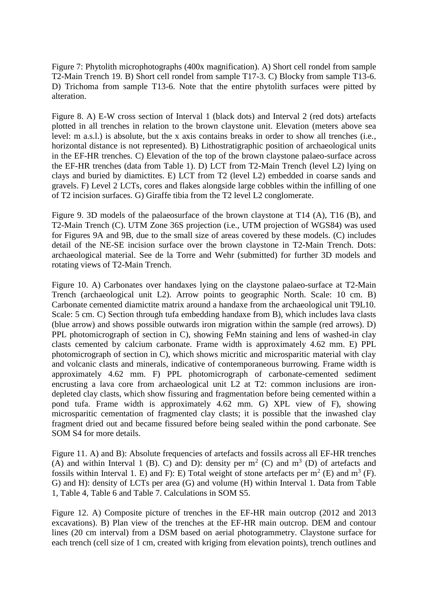Figure 7: Phytolith microphotographs (400x magnification). A) Short cell rondel from sample T2-Main Trench 19. B) Short cell rondel from sample T17-3. C) Blocky from sample T13-6. D) Trichoma from sample T13-6. Note that the entire phytolith surfaces were pitted by alteration.

Figure 8. A) E-W cross section of Interval 1 (black dots) and Interval 2 (red dots) artefacts plotted in all trenches in relation to the brown claystone unit. Elevation (meters above sea level: m a.s.l.) is absolute, but the x axis contains breaks in order to show all trenches (i.e., horizontal distance is not represented). B) Lithostratigraphic position of archaeological units in the EF-HR trenches. C) Elevation of the top of the brown claystone palaeo-surface across the EF-HR trenches (data from Table 1). D) LCT from T2-Main Trench (level L2) lying on clays and buried by diamictites. E) LCT from T2 (level L2) embedded in coarse sands and gravels. F) Level 2 LCTs, cores and flakes alongside large cobbles within the infilling of one of T2 incision surfaces. G) Giraffe tibia from the T2 level L2 conglomerate.

Figure 9. 3D models of the palaeosurface of the brown claystone at T14 (A), T16 (B), and T2-Main Trench (C). UTM Zone 36S projection (i.e., UTM projection of WGS84) was used for Figures 9A and 9B, due to the small size of areas covered by these models. (C) includes detail of the NE-SE incision surface over the brown claystone in T2-Main Trench. Dots: archaeological material. See de la Torre and Wehr (submitted) for further 3D models and rotating views of T2-Main Trench.

Figure 10. A) Carbonates over handaxes lying on the claystone palaeo-surface at T2-Main Trench (archaeological unit L2). Arrow points to geographic North. Scale: 10 cm. B) Carbonate cemented diamictite matrix around a handaxe from the archaeological unit T9L10. Scale: 5 cm. C) Section through tufa embedding handaxe from B), which includes lava clasts (blue arrow) and shows possible outwards iron migration within the sample (red arrows). D) PPL photomicrograph of section in C), showing FeMn staining and lens of washed-in clay clasts cemented by calcium carbonate. Frame width is approximately 4.62 mm. E) PPL photomicrograph of section in C), which shows micritic and microsparitic material with clay and volcanic clasts and minerals, indicative of contemporaneous burrowing. Frame width is approximately 4.62 mm. F) PPL photomicrograph of carbonate-cemented sediment encrusting a lava core from archaeological unit L2 at T2: common inclusions are irondepleted clay clasts, which show fissuring and fragmentation before being cemented within a pond tufa. Frame width is approximately 4.62 mm. G) XPL view of F), showing microsparitic cementation of fragmented clay clasts; it is possible that the inwashed clay fragment dried out and became fissured before being sealed within the pond carbonate. See SOM S4 for more details.

Figure 11. A) and B): Absolute frequencies of artefacts and fossils across all EF-HR trenches (A) and within Interval 1 (B). C) and D): density per  $m<sup>2</sup>$  (C) and  $m<sup>3</sup>$  (D) of artefacts and fossils within Interval 1. E) and F): E) Total weight of stone artefacts per  $m^2$  (E) and  $m^3$  (F). G) and H): density of LCTs per area (G) and volume (H) within Interval 1. Data from Table 1, Table 4, Table 6 and Table 7. Calculations in SOM S5.

Figure 12. A) Composite picture of trenches in the EF-HR main outcrop (2012 and 2013 excavations). B) Plan view of the trenches at the EF-HR main outcrop. DEM and contour lines (20 cm interval) from a DSM based on aerial photogrammetry. Claystone surface for each trench (cell size of 1 cm, created with kriging from elevation points), trench outlines and